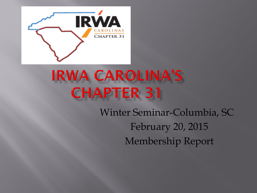

## **IRWA CAROLINA'S CHAPTER 31**

Winter Seminar-Columbia, SC February 20, 2015 Membership Report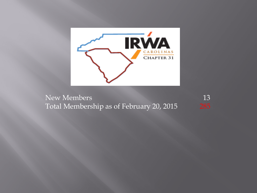

New Members 13 Total Membership as of February 20, 2015 285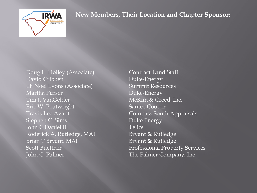

Doug L. Holley (Associate) Contract Land Staff David Cribben Duke-Energy Eli Noel Lyons (Associate) Summit Resources Martha Purser **Duke-Energy** Tim J. VanGelder McKim & Creed, Inc. Eric W. Boatwright Santee Cooper Travis Lee Avant **Compass South Appraisals** Stephen C. Sims Duke Energy John C Daniel III Telics Roderick A. Rutledge, MAI Bryant & Rutledge Brian T Bryant, MAI Bryant & Rutledge John C. Palmer The Palmer Company, Inc

Scott Buettner Professional Property Services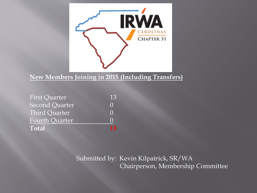

## **New Members Joining in 2015 (Including Transfers)**

| <b>First Quarter</b>  | 13 |
|-----------------------|----|
| <b>Second Quarter</b> |    |
| Third Quarter         |    |
| <b>Fourth Quarter</b> |    |
| <b>Total</b>          |    |

## Submitted by: Kevin Kilpatrick, SR/WA Chairperson, Membership Committee